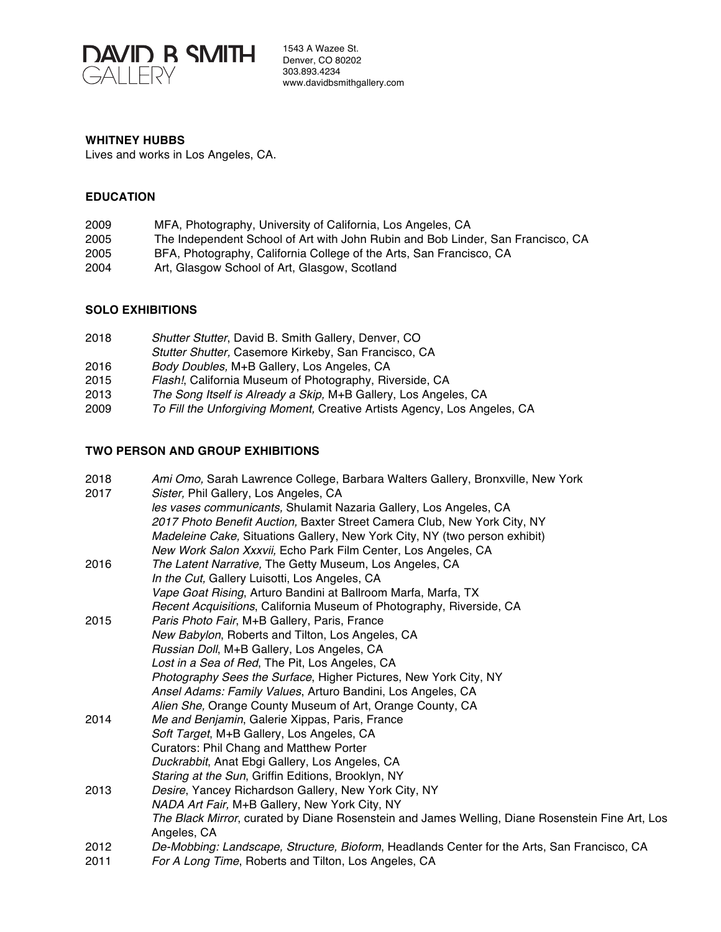

1543 A Wazee St. Denver, CO 80202 303.893.4234 www.davidbsmithgallery.com

#### **WHITNEY HUBBS**

Lives and works in Los Angeles, CA.

## **EDUCATION**

| 2009 | MFA, Photography, University of California, Los Angeles, CA                     |
|------|---------------------------------------------------------------------------------|
| 2005 | The Independent School of Art with John Rubin and Bob Linder, San Francisco, CA |
| 2005 | BFA, Photography, California College of the Arts, San Francisco, CA             |
| 2004 | Art, Glasgow School of Art, Glasgow, Scotland                                   |
|      |                                                                                 |

### **SOLO EXHIBITIONS**

| 2018 | Shutter Stutter, David B. Smith Gallery, Denver, CO                      |
|------|--------------------------------------------------------------------------|
|      | Stutter Shutter, Casemore Kirkeby, San Francisco, CA                     |
| 2016 | Body Doubles, M+B Gallery, Los Angeles, CA                               |
| 2015 | Flash!, California Museum of Photography, Riverside, CA                  |
| 2013 | The Song Itself is Already a Skip, M+B Gallery, Los Angeles, CA          |
| 2009 | To Fill the Unforgiving Moment, Creative Artists Agency, Los Angeles, CA |

#### **TWO PERSON AND GROUP EXHIBITIONS**

| Ami Omo, Sarah Lawrence College, Barbara Walters Gallery, Bronxville, New York                                                                      |
|-----------------------------------------------------------------------------------------------------------------------------------------------------|
| Sister, Phil Gallery, Los Angeles, CA                                                                                                               |
| les vases communicants, Shulamit Nazaria Gallery, Los Angeles, CA                                                                                   |
| 2017 Photo Benefit Auction, Baxter Street Camera Club, New York City, NY                                                                            |
| Madeleine Cake, Situations Gallery, New York City, NY (two person exhibit)                                                                          |
| New Work Salon Xxxvii, Echo Park Film Center, Los Angeles, CA                                                                                       |
| The Latent Narrative, The Getty Museum, Los Angeles, CA                                                                                             |
| In the Cut, Gallery Luisotti, Los Angeles, CA                                                                                                       |
| Vape Goat Rising, Arturo Bandini at Ballroom Marfa, Marfa, TX                                                                                       |
| Recent Acquisitions, California Museum of Photography, Riverside, CA                                                                                |
| Paris Photo Fair, M+B Gallery, Paris, France                                                                                                        |
| New Babylon, Roberts and Tilton, Los Angeles, CA                                                                                                    |
| Russian Doll, M+B Gallery, Los Angeles, CA                                                                                                          |
| Lost in a Sea of Red, The Pit, Los Angeles, CA                                                                                                      |
| Photography Sees the Surface, Higher Pictures, New York City, NY                                                                                    |
| Ansel Adams: Family Values, Arturo Bandini, Los Angeles, CA                                                                                         |
| Alien She, Orange County Museum of Art, Orange County, CA                                                                                           |
| Me and Benjamin, Galerie Xippas, Paris, France                                                                                                      |
| Soft Target, M+B Gallery, Los Angeles, CA                                                                                                           |
| Curators: Phil Chang and Matthew Porter                                                                                                             |
| Duckrabbit, Anat Ebgi Gallery, Los Angeles, CA                                                                                                      |
| Staring at the Sun, Griffin Editions, Brooklyn, NY                                                                                                  |
| Desire, Yancey Richardson Gallery, New York City, NY                                                                                                |
| NADA Art Fair, M+B Gallery, New York City, NY                                                                                                       |
| The Black Mirror, curated by Diane Rosenstein and James Welling, Diane Rosenstein Fine Art, Los                                                     |
| Angeles, CA                                                                                                                                         |
| De-Mobbing: Landscape, Structure, Bioform, Headlands Center for the Arts, San Francisco, CA<br>For A Long Time, Roberts and Tilton, Los Angeles, CA |
|                                                                                                                                                     |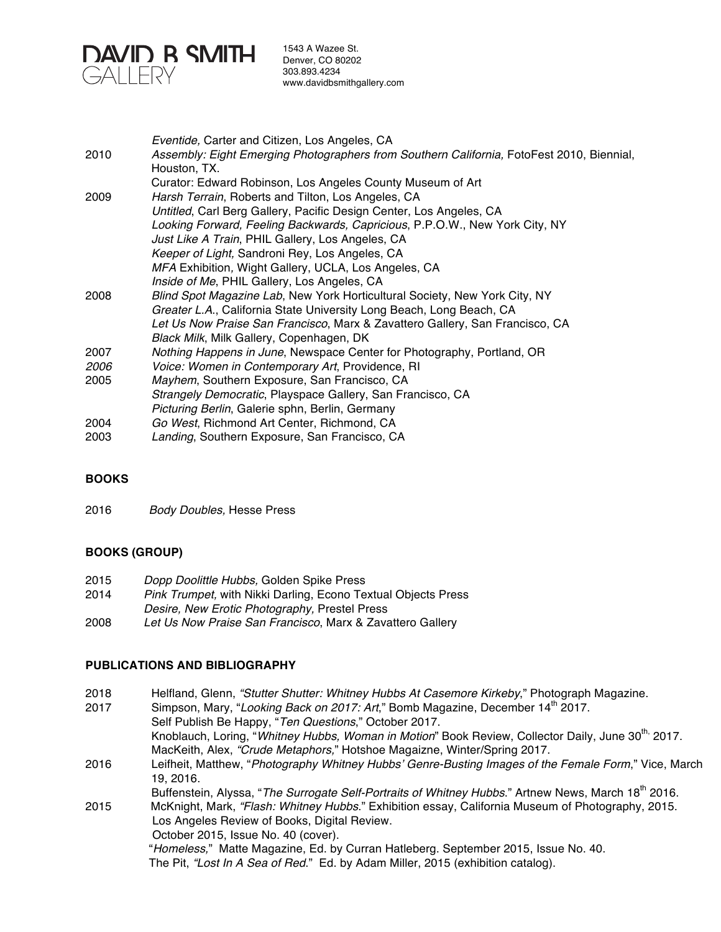

1543 A Wazee St. Denver, CO 80202 303.893.4234 www.davidbsmithgallery.com

|             | Eventide, Carter and Citizen, Los Angeles, CA                                                             |
|-------------|-----------------------------------------------------------------------------------------------------------|
| 2010        | Assembly: Eight Emerging Photographers from Southern California, FotoFest 2010, Biennial,<br>Houston, TX. |
|             | Curator: Edward Robinson, Los Angeles County Museum of Art                                                |
| 2009        | Harsh Terrain, Roberts and Tilton, Los Angeles, CA                                                        |
|             | Untitled, Carl Berg Gallery, Pacific Design Center, Los Angeles, CA                                       |
|             | Looking Forward, Feeling Backwards, Capricious, P.P.O.W., New York City, NY                               |
|             | Just Like A Train, PHIL Gallery, Los Angeles, CA                                                          |
|             | Keeper of Light, Sandroni Rey, Los Angeles, CA                                                            |
|             | MFA Exhibition, Wight Gallery, UCLA, Los Angeles, CA                                                      |
|             | Inside of Me, PHIL Gallery, Los Angeles, CA                                                               |
| 2008        | Blind Spot Magazine Lab, New York Horticultural Society, New York City, NY                                |
|             | Greater L.A., California State University Long Beach, Long Beach, CA                                      |
|             | Let Us Now Praise San Francisco, Marx & Zavattero Gallery, San Francisco, CA                              |
|             | Black Milk, Milk Gallery, Copenhagen, DK                                                                  |
| 2007        | Nothing Happens in June, Newspace Center for Photography, Portland, OR                                    |
| <i>2006</i> | Voice: Women in Contemporary Art, Providence, RI                                                          |
| 2005        | Mayhem, Southern Exposure, San Francisco, CA                                                              |
|             | Strangely Democratic, Playspace Gallery, San Francisco, CA                                                |
|             | Picturing Berlin, Galerie sphn, Berlin, Germany                                                           |
| 2004        | Go West, Richmond Art Center, Richmond, CA                                                                |
| 2003        | Landing, Southern Exposure, San Francisco, CA                                                             |

### **BOOKS**

2016 *Body Doubles,* Hesse Press

## **BOOKS (GROUP)**

| 2015 | Dopp Doolittle Hubbs, Golden Spike Press                             |
|------|----------------------------------------------------------------------|
| 2014 | <i>Pink Trumpet, with Nikki Darling, Econo Textual Objects Press</i> |
|      | Desire, New Erotic Photography, Prestel Press                        |
| 2008 | Let Us Now Praise San Francisco, Marx & Zavattero Gallery            |

### **PUBLICATIONS AND BIBLIOGRAPHY**

| 2018 | Helfland, Glenn, "Stutter Shutter: Whitney Hubbs At Casemore Kirkeby," Photograph Magazine. |
|------|---------------------------------------------------------------------------------------------|
| 2017 | Simpson, Mary, "Looking Back on 2017: Art," Bomb Magazine, December 14 <sup>th</sup> 2017.  |

Self Publish Be Happy, "*Ten Questions*," October 2017. Knoblauch, Loring, "Whitney Hubbs, Woman in Motion" Book Review, Collector Daily, June 30<sup>th,</sup> 2017. MacKeith, Alex, *"Crude Metaphors,*" Hotshoe Magaizne, Winter/Spring 2017. 2016 Leifheit, Matthew, "*Photography Whitney Hubbs' Genre-Busting Images of the Female Form*," Vice, March 19, 2016. Buffenstein, Alyssa, "The Surrogate Self-Portraits of Whitney Hubbs." Artnew News, March 18<sup>th</sup> 2016. 2015 McKnight, Mark, *"Flash: Whitney Hubbs*." Exhibition essay, California Museum of Photography, 2015. Los Angeles Review of Books, Digital Review. October 2015, Issue No. 40 (cover). "*Homeless,*" Matte Magazine, Ed. by Curran Hatleberg. September 2015, Issue No. 40. The Pit, *"Lost In A Sea of Red*." Ed. by Adam Miller, 2015 (exhibition catalog).